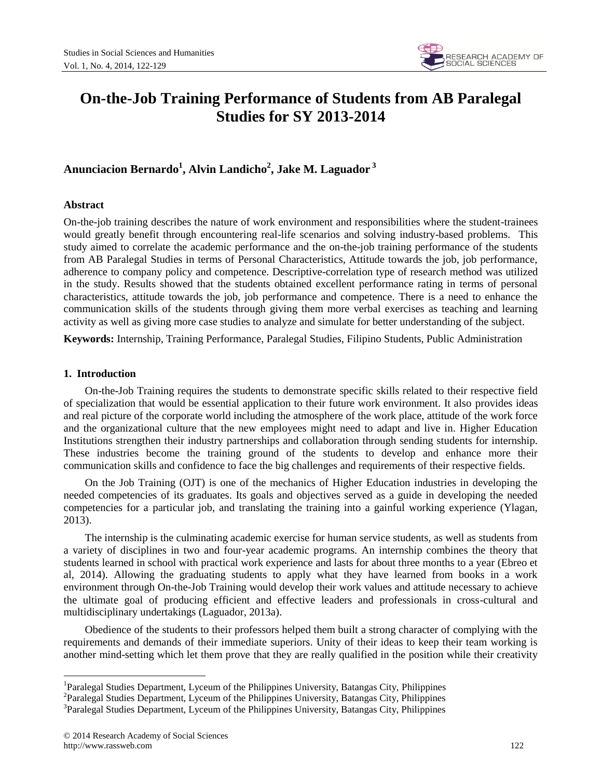

# **On-the-Job Training Performance of Students from AB Paralegal Studies for SY 2013-2014**

## **Anunciacion Bernardo<sup>1</sup> , Alvin Landicho<sup>2</sup> , Jake M. Laguador <sup>3</sup>**

## **Abstract**

On-the-job training describes the nature of work environment and responsibilities where the student-trainees would greatly benefit through encountering real-life scenarios and solving industry-based problems. This study aimed to correlate the academic performance and the on-the-job training performance of the students from AB Paralegal Studies in terms of Personal Characteristics, Attitude towards the job, job performance, adherence to company policy and competence. Descriptive-correlation type of research method was utilized in the study. Results showed that the students obtained excellent performance rating in terms of personal characteristics, attitude towards the job, job performance and competence. There is a need to enhance the communication skills of the students through giving them more verbal exercises as teaching and learning activity as well as giving more case studies to analyze and simulate for better understanding of the subject.

**Keywords:** Internship, Training Performance, Paralegal Studies, Filipino Students, Public Administration

## **1. Introduction**

 $\overline{a}$ 

On-the-Job Training requires the students to demonstrate specific skills related to their respective field of specialization that would be essential application to their future work environment. It also provides ideas and real picture of the corporate world including the atmosphere of the work place, attitude of the work force and the organizational culture that the new employees might need to adapt and live in. Higher Education Institutions strengthen their industry partnerships and collaboration through sending students for internship. These industries become the training ground of the students to develop and enhance more their communication skills and confidence to face the big challenges and requirements of their respective fields.

On the Job Training (OJT) is one of the mechanics of Higher Education industries in developing the needed competencies of its graduates. Its goals and objectives served as a guide in developing the needed competencies for a particular job, and translating the training into a gainful working experience (Ylagan, 2013).

The internship is the culminating academic exercise for human service students, as well as students from a variety of disciplines in two and four-year academic programs. An internship combines the theory that students learned in school with practical work experience and lasts for about three months to a year (Ebreo et al, 2014). Allowing the graduating students to apply what they have learned from books in a work environment through On-the-Job Training would develop their work values and attitude necessary to achieve the ultimate goal of producing efficient and effective leaders and professionals in cross-cultural and multidisciplinary undertakings (Laguador, 2013a).

Obedience of the students to their professors helped them built a strong character of complying with the requirements and demands of their immediate superiors. Unity of their ideas to keep their team working is another mind-setting which let them prove that they are really qualified in the position while their creativity

<sup>&</sup>lt;sup>1</sup>Paralegal Studies Department, Lyceum of the Philippines University, Batangas City, Philippines

<sup>2</sup> Paralegal Studies Department, Lyceum of the Philippines University, Batangas City, Philippines

<sup>&</sup>lt;sup>3</sup>Paralegal Studies Department, Lyceum of the Philippines University, Batangas City, Philippines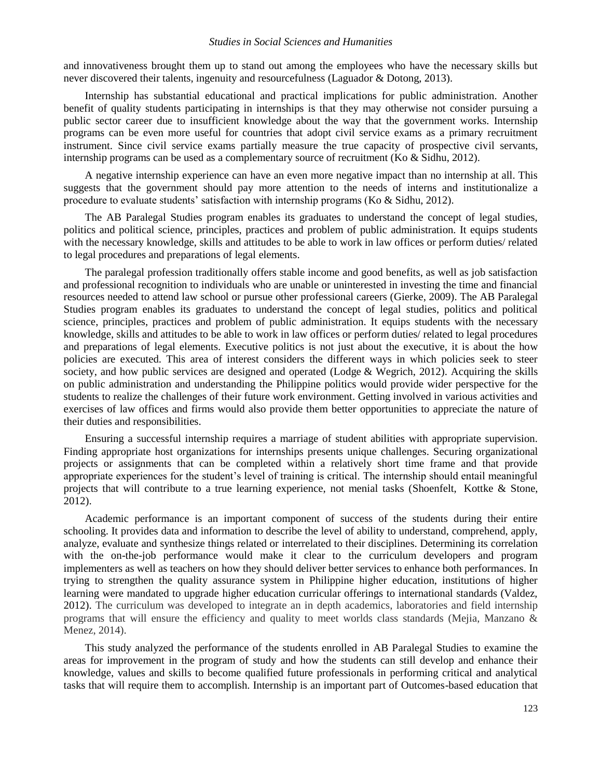#### *Studies in Social Sciences and Humanities*

and innovativeness brought them up to stand out among the employees who have the necessary skills but never discovered their talents, ingenuity and resourcefulness (Laguador & Dotong, 2013).

Internship has substantial educational and practical implications for public administration. Another benefit of quality students participating in internships is that they may otherwise not consider pursuing a public sector career due to insufficient knowledge about the way that the government works. Internship programs can be even more useful for countries that adopt civil service exams as a primary recruitment instrument. Since civil service exams partially measure the true capacity of prospective civil servants, internship programs can be used as a complementary source of recruitment (Ko & Sidhu, 2012).

A negative internship experience can have an even more negative impact than no internship at all. This suggests that the government should pay more attention to the needs of interns and institutionalize a procedure to evaluate students' satisfaction with internship programs (Ko & Sidhu, 2012).

The AB Paralegal Studies program enables its graduates to understand the concept of legal studies, politics and political science, principles, practices and problem of public administration. It equips students with the necessary knowledge, skills and attitudes to be able to work in law offices or perform duties/ related to legal procedures and preparations of legal elements.

The paralegal profession traditionally offers stable income and good benefits, as well as job satisfaction and professional recognition to individuals who are unable or uninterested in investing the time and financial resources needed to attend law school or pursue other professional careers (Gierke, 2009). The AB Paralegal Studies program enables its graduates to understand the concept of legal studies, politics and political science, principles, practices and problem of public administration. It equips students with the necessary knowledge, skills and attitudes to be able to work in law offices or perform duties/ related to legal procedures and preparations of legal elements. Executive politics is not just about the executive, it is about the how policies are executed. This area of interest considers the different ways in which policies seek to steer society, and how public services are designed and operated (Lodge & Wegrich, 2012). Acquiring the skills on public administration and understanding the Philippine politics would provide wider perspective for the students to realize the challenges of their future work environment. Getting involved in various activities and exercises of law offices and firms would also provide them better opportunities to appreciate the nature of their duties and responsibilities.

Ensuring a successful internship requires a marriage of student abilities with appropriate supervision. Finding appropriate host organizations for internships presents unique challenges. Securing organizational projects or assignments that can be completed within a relatively short time frame and that provide appropriate experiences for the student's level of training is critical. The internship should entail meaningful projects that will contribute to a true learning experience, not menial tasks (Shoenfelt, Kottke & Stone, 2012).

Academic performance is an important component of success of the students during their entire schooling. It provides data and information to describe the level of ability to understand, comprehend, apply, analyze, evaluate and synthesize things related or interrelated to their disciplines. Determining its correlation with the on-the-job performance would make it clear to the curriculum developers and program implementers as well as teachers on how they should deliver better services to enhance both performances. In trying to strengthen the quality assurance system in Philippine higher education, institutions of higher learning were mandated to upgrade higher education curricular offerings to international standards (Valdez, 2012). The curriculum was developed to integrate an in depth academics, laboratories and field internship programs that will ensure the efficiency and quality to meet worlds class standards (Mejia, Manzano & Menez, 2014).

This study analyzed the performance of the students enrolled in AB Paralegal Studies to examine the areas for improvement in the program of study and how the students can still develop and enhance their knowledge, values and skills to become qualified future professionals in performing critical and analytical tasks that will require them to accomplish. Internship is an important part of Outcomes-based education that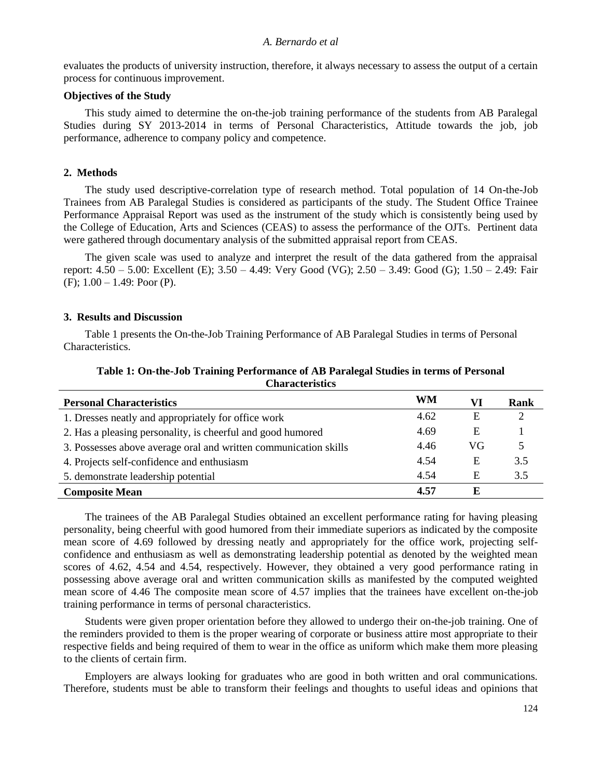#### *A. Bernardo et al*

evaluates the products of university instruction, therefore, it always necessary to assess the output of a certain process for continuous improvement.

#### **Objectives of the Study**

This study aimed to determine the on-the-job training performance of the students from AB Paralegal Studies during SY 2013-2014 in terms of Personal Characteristics, Attitude towards the job, job performance, adherence to company policy and competence.

## **2. Methods**

The study used descriptive-correlation type of research method. Total population of 14 On-the-Job Trainees from AB Paralegal Studies is considered as participants of the study. The Student Office Trainee Performance Appraisal Report was used as the instrument of the study which is consistently being used by the College of Education, Arts and Sciences (CEAS) to assess the performance of the OJTs. Pertinent data were gathered through documentary analysis of the submitted appraisal report from CEAS.

The given scale was used to analyze and interpret the result of the data gathered from the appraisal report: 4.50 – 5.00: Excellent (E); 3.50 – 4.49: Very Good (VG); 2.50 – 3.49: Good (G); 1.50 – 2.49: Fair  $(F)$ ; 1.00 – 1.49; Poor  $(P)$ .

#### **3. Results and Discussion**

Table 1 presents the On-the-Job Training Performance of AB Paralegal Studies in terms of Personal Characteristics.

| <b>Personal Characteristics</b>                                  | WM   | VI | Rank |
|------------------------------------------------------------------|------|----|------|
| 1. Dresses neatly and appropriately for office work              | 4.62 | Ε  |      |
| 2. Has a pleasing personality, is cheerful and good humored      | 4.69 | Ε  |      |
| 3. Possesses above average oral and written communication skills | 4.46 | VG |      |
| 4. Projects self-confidence and enthusiasm                       | 4.54 | Ε  | 3.5  |
| 5. demonstrate leadership potential                              | 4.54 | Ε  | 3.5  |
| <b>Composite Mean</b>                                            | 4.57 | Е  |      |

## **Table 1: On-the-Job Training Performance of AB Paralegal Studies in terms of Personal Characteristics**

The trainees of the AB Paralegal Studies obtained an excellent performance rating for having pleasing personality, being cheerful with good humored from their immediate superiors as indicated by the composite mean score of 4.69 followed by dressing neatly and appropriately for the office work, projecting selfconfidence and enthusiasm as well as demonstrating leadership potential as denoted by the weighted mean scores of 4.62, 4.54 and 4.54, respectively. However, they obtained a very good performance rating in possessing above average oral and written communication skills as manifested by the computed weighted mean score of 4.46 The composite mean score of 4.57 implies that the trainees have excellent on-the-job training performance in terms of personal characteristics.

Students were given proper orientation before they allowed to undergo their on-the-job training. One of the reminders provided to them is the proper wearing of corporate or business attire most appropriate to their respective fields and being required of them to wear in the office as uniform which make them more pleasing to the clients of certain firm.

Employers are always looking for graduates who are good in both written and oral communications. Therefore, students must be able to transform their feelings and thoughts to useful ideas and opinions that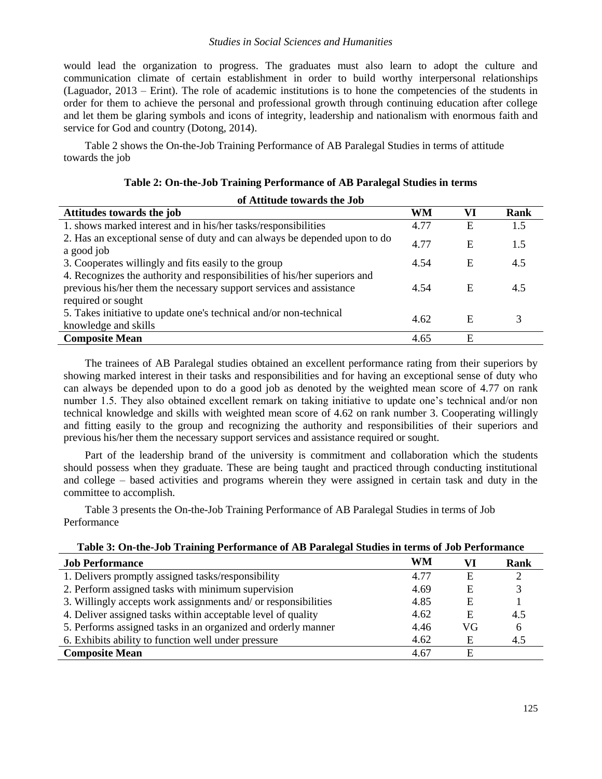## *Studies in Social Sciences and Humanities*

would lead the organization to progress. The graduates must also learn to adopt the culture and communication climate of certain establishment in order to build worthy interpersonal relationships (Laguador, 2013 – Erint). The role of academic institutions is to hone the competencies of the students in order for them to achieve the personal and professional growth through continuing education after college and let them be glaring symbols and icons of integrity, leadership and nationalism with enormous faith and service for God and country (Dotong, 2014).

Table 2 shows the On-the-Job Training Performance of AB Paralegal Studies in terms of attitude towards the job

| of Attitude towards the Job                                                                                                                                            |           |    |      |
|------------------------------------------------------------------------------------------------------------------------------------------------------------------------|-----------|----|------|
| Attitudes towards the job                                                                                                                                              | <b>WM</b> | VI | Rank |
| 1. shows marked interest and in his/her tasks/responsibilities                                                                                                         | 4.77      | Ε  | 1.5  |
| 2. Has an exceptional sense of duty and can always be depended upon to do<br>a good job                                                                                | 4.77      | Ε  | 1.5  |
| 3. Cooperates willingly and fits easily to the group                                                                                                                   | 4.54      | E  | 4.5  |
| 4. Recognizes the authority and responsibilities of his/her superiors and<br>previous his/her them the necessary support services and assistance<br>required or sought | 4.54      | E  | 4.5  |
| 5. Takes initiative to update one's technical and/or non-technical<br>knowledge and skills                                                                             | 4.62      | E  |      |
| <b>Composite Mean</b>                                                                                                                                                  | 4.65      | Ε  |      |

|  |  | Table 2: On-the-Job Training Performance of AB Paralegal Studies in terms |
|--|--|---------------------------------------------------------------------------|
|--|--|---------------------------------------------------------------------------|

The trainees of AB Paralegal studies obtained an excellent performance rating from their superiors by showing marked interest in their tasks and responsibilities and for having an exceptional sense of duty who can always be depended upon to do a good job as denoted by the weighted mean score of 4.77 on rank number 1.5. They also obtained excellent remark on taking initiative to update one's technical and/or non technical knowledge and skills with weighted mean score of 4.62 on rank number 3. Cooperating willingly and fitting easily to the group and recognizing the authority and responsibilities of their superiors and previous his/her them the necessary support services and assistance required or sought.

Part of the leadership brand of the university is commitment and collaboration which the students should possess when they graduate. These are being taught and practiced through conducting institutional and college – based activities and programs wherein they were assigned in certain task and duty in the committee to accomplish.

Table 3 presents the On-the-Job Training Performance of AB Paralegal Studies in terms of Job Performance

| Table 5: On-the-Job Training I cribitinality of AD I arangal buddes in terms of Job I cribitinality |      |    |             |
|-----------------------------------------------------------------------------------------------------|------|----|-------------|
| <b>Job Performance</b>                                                                              | WM   | VI | <b>Rank</b> |
| 1. Delivers promptly assigned tasks/responsibility                                                  | 4.77 | E  |             |
| 2. Perform assigned tasks with minimum supervision                                                  | 4.69 | Е  |             |
| 3. Willingly accepts work assignments and/or responsibilities                                       | 4.85 | E  |             |
| 4. Deliver assigned tasks within acceptable level of quality                                        | 4.62 | E  | 4.5         |
| 5. Performs assigned tasks in an organized and orderly manner                                       | 4.46 | VG | h           |
| 6. Exhibits ability to function well under pressure                                                 | 4.62 | E  | 4.5         |
| <b>Composite Mean</b>                                                                               | 4.67 | E  |             |

## **Table 3: On-the-Job Training Performance of AB Paralegal Studies in terms of Job Performance**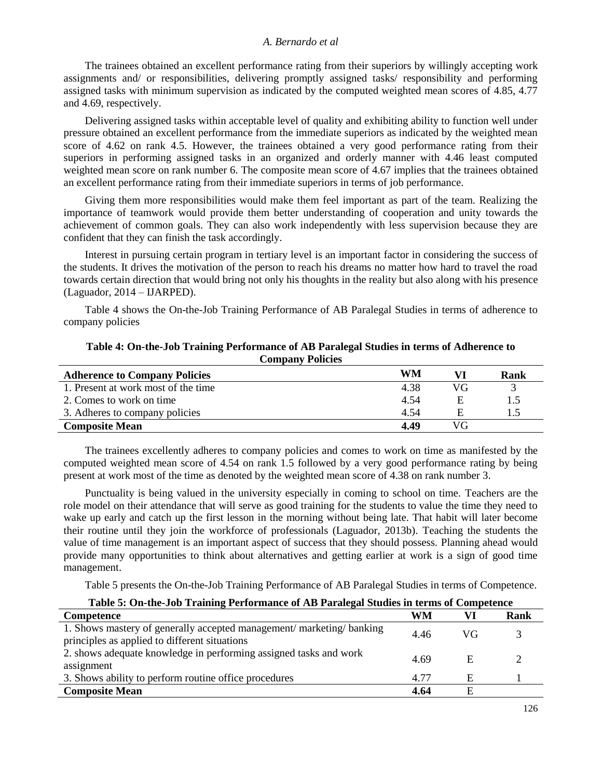#### *A. Bernardo et al*

The trainees obtained an excellent performance rating from their superiors by willingly accepting work assignments and/ or responsibilities, delivering promptly assigned tasks/ responsibility and performing assigned tasks with minimum supervision as indicated by the computed weighted mean scores of 4.85, 4.77 and 4.69, respectively.

Delivering assigned tasks within acceptable level of quality and exhibiting ability to function well under pressure obtained an excellent performance from the immediate superiors as indicated by the weighted mean score of 4.62 on rank 4.5. However, the trainees obtained a very good performance rating from their superiors in performing assigned tasks in an organized and orderly manner with 4.46 least computed weighted mean score on rank number 6. The composite mean score of 4.67 implies that the trainees obtained an excellent performance rating from their immediate superiors in terms of job performance.

Giving them more responsibilities would make them feel important as part of the team. Realizing the importance of teamwork would provide them better understanding of cooperation and unity towards the achievement of common goals. They can also work independently with less supervision because they are confident that they can finish the task accordingly.

Interest in pursuing certain program in tertiary level is an important factor in considering the success of the students. It drives the motivation of the person to reach his dreams no matter how hard to travel the road towards certain direction that would bring not only his thoughts in the reality but also along with his presence (Laguador, 2014 – IJARPED).

Table 4 shows the On-the-Job Training Performance of AB Paralegal Studies in terms of adherence to company policies

| <b>Adherence to Company Policies</b> | WM   |    | Rank |
|--------------------------------------|------|----|------|
| 1. Present at work most of the time  | 4.38 | VG |      |
| 2. Comes to work on time             | 4.54 |    | 1.5  |
| 3. Adheres to company policies       | 4.54 | F  | 1.5  |
| <b>Composite Mean</b>                | 4.49 | VG |      |

**Table 4: On-the-Job Training Performance of AB Paralegal Studies in terms of Adherence to Company Policies**

The trainees excellently adheres to company policies and comes to work on time as manifested by the computed weighted mean score of 4.54 on rank 1.5 followed by a very good performance rating by being present at work most of the time as denoted by the weighted mean score of 4.38 on rank number 3.

Punctuality is being valued in the university especially in coming to school on time. Teachers are the role model on their attendance that will serve as good training for the students to value the time they need to wake up early and catch up the first lesson in the morning without being late. That habit will later become their routine until they join the workforce of professionals (Laguador, 2013b). Teaching the students the value of time management is an important aspect of success that they should possess. Planning ahead would provide many opportunities to think about alternatives and getting earlier at work is a sign of good time management.

Table 5 presents the On-the-Job Training Performance of AB Paralegal Studies in terms of Competence.

| Table 5: On-the-Job Training Performance of AB Paralegal Studies in terms of Competence |    |  |      |
|-----------------------------------------------------------------------------------------|----|--|------|
| Competence                                                                              | WM |  | Rank |
| $1.01$ (1 $1.1$ $1.1$ $1.1$ $1.1$ $1.1$                                                 |    |  |      |

| 1. Shows mastery of generally accepted management/marketing/banking<br>principles as applied to different situations | 4.46 | VG |  |
|----------------------------------------------------------------------------------------------------------------------|------|----|--|
| 2. shows adequate knowledge in performing assigned tasks and work<br>assignment                                      | 4.69 | E  |  |
| 3. Shows ability to perform routine office procedures                                                                | 4.77 | E  |  |
| <b>Composite Mean</b>                                                                                                | 4.64 | F  |  |
|                                                                                                                      |      |    |  |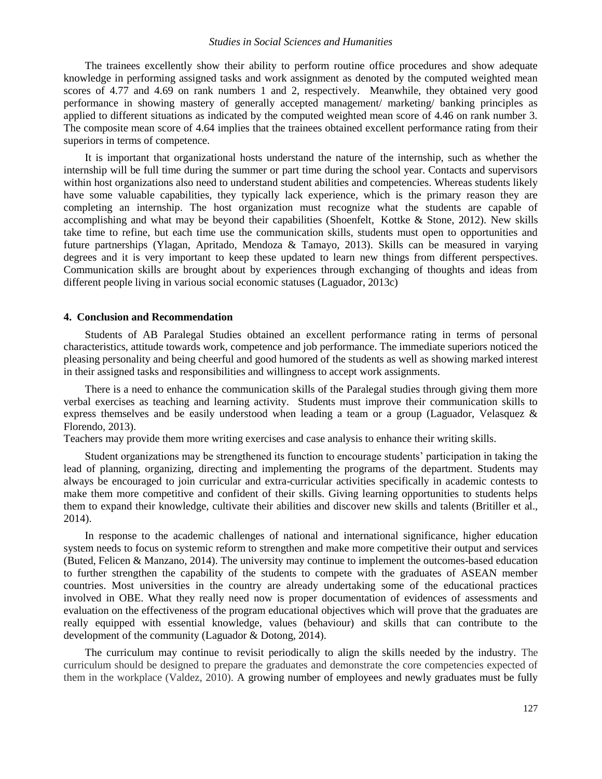#### *Studies in Social Sciences and Humanities*

The trainees excellently show their ability to perform routine office procedures and show adequate knowledge in performing assigned tasks and work assignment as denoted by the computed weighted mean scores of 4.77 and 4.69 on rank numbers 1 and 2, respectively. Meanwhile, they obtained very good performance in showing mastery of generally accepted management/ marketing/ banking principles as applied to different situations as indicated by the computed weighted mean score of 4.46 on rank number 3. The composite mean score of 4.64 implies that the trainees obtained excellent performance rating from their superiors in terms of competence.

It is important that organizational hosts understand the nature of the internship, such as whether the internship will be full time during the summer or part time during the school year. Contacts and supervisors within host organizations also need to understand student abilities and competencies. Whereas students likely have some valuable capabilities, they typically lack experience, which is the primary reason they are completing an internship. The host organization must recognize what the students are capable of accomplishing and what may be beyond their capabilities (Shoenfelt, Kottke & Stone, 2012). New skills take time to refine, but each time use the communication skills, students must open to opportunities and future partnerships (Ylagan, Apritado, Mendoza & Tamayo, 2013). Skills can be measured in varying degrees and it is very important to keep these updated to learn new things from different perspectives. Communication skills are brought about by experiences through exchanging of thoughts and ideas from different people living in various social economic statuses (Laguador, 2013c)

#### **4. Conclusion and Recommendation**

Students of AB Paralegal Studies obtained an excellent performance rating in terms of personal characteristics, attitude towards work, competence and job performance. The immediate superiors noticed the pleasing personality and being cheerful and good humored of the students as well as showing marked interest in their assigned tasks and responsibilities and willingness to accept work assignments.

There is a need to enhance the communication skills of the Paralegal studies through giving them more verbal exercises as teaching and learning activity. Students must improve their communication skills to express themselves and be easily understood when leading a team or a group (Laguador, Velasquez & Florendo, 2013).

Teachers may provide them more writing exercises and case analysis to enhance their writing skills.

Student organizations may be strengthened its function to encourage students' participation in taking the lead of planning, organizing, directing and implementing the programs of the department. Students may always be encouraged to join curricular and extra-curricular activities specifically in academic contests to make them more competitive and confident of their skills. Giving learning opportunities to students helps them to expand their knowledge, cultivate their abilities and discover new skills and talents (Britiller et al., 2014).

In response to the academic challenges of national and international significance, higher education system needs to focus on systemic reform to strengthen and make more competitive their output and services (Buted, Felicen & Manzano, 2014). The university may continue to implement the outcomes-based education to further strengthen the capability of the students to compete with the graduates of ASEAN member countries. Most universities in the country are already undertaking some of the educational practices involved in OBE. What they really need now is proper documentation of evidences of assessments and evaluation on the effectiveness of the program educational objectives which will prove that the graduates are really equipped with essential knowledge, values (behaviour) and skills that can contribute to the development of the community (Laguador & Dotong, 2014).

The curriculum may continue to revisit periodically to align the skills needed by the industry. The curriculum should be designed to prepare the graduates and demonstrate the core competencies expected of them in the workplace (Valdez, 2010). A growing number of employees and newly graduates must be fully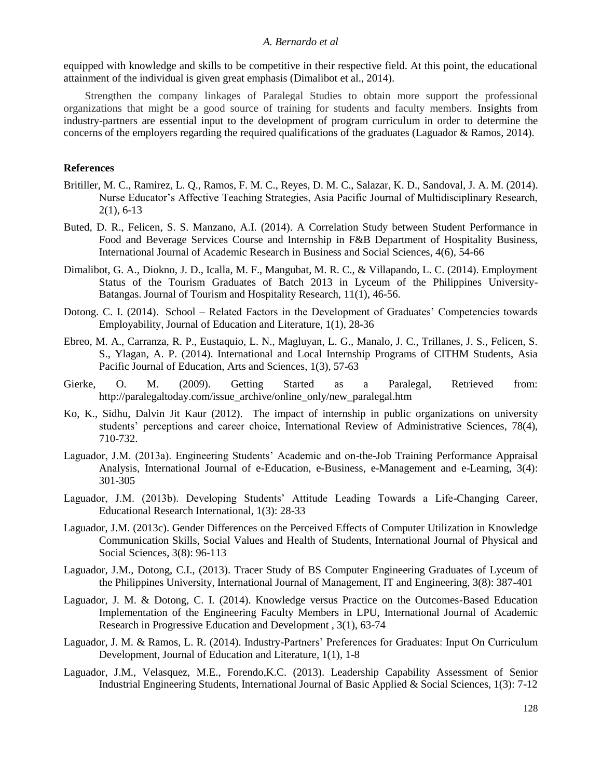#### *A. Bernardo et al*

equipped with knowledge and skills to be competitive in their respective field. At this point, the educational attainment of the individual is given great emphasis (Dimalibot et al., 2014).

Strengthen the company linkages of Paralegal Studies to obtain more support the professional organizations that might be a good source of training for students and faculty members. Insights from industry-partners are essential input to the development of program curriculum in order to determine the concerns of the employers regarding the required qualifications of the graduates (Laguador & Ramos, 2014).

#### **References**

- Britiller, M. C., Ramirez, L. Q., Ramos, F. M. C., Reyes, D. M. C., Salazar, K. D., Sandoval, J. A. M. (2014). Nurse Educator's Affective Teaching Strategies, Asia Pacific Journal of Multidisciplinary Research, 2(1), 6-13
- Buted, D. R., Felicen, S. S. Manzano, A.I. (2014). A Correlation Study between Student Performance in Food and Beverage Services Course and Internship in F&B Department of Hospitality Business, International Journal of Academic Research in Business and Social Sciences, 4(6), 54-66
- Dimalibot, G. A., Diokno, J. D., Icalla, M. F., Mangubat, M. R. C., & Villapando, L. C. (2014). Employment Status of the Tourism Graduates of Batch 2013 in Lyceum of the Philippines University-Batangas. Journal of Tourism and Hospitality Research, 11(1), 46-56.
- Dotong. C. I. (2014). School [Related Factors in the Development of Graduates' Competencies towards](http://research.lpubatangas.edu.ph/wp-content/uploads/2014/10/JEL-School-%E2%80%93-Related-Factors-in-the-Development-of-Graduates%E2%80%99-Competencies-towards-Employability.pdf)  [Employability,](http://research.lpubatangas.edu.ph/wp-content/uploads/2014/10/JEL-School-%E2%80%93-Related-Factors-in-the-Development-of-Graduates%E2%80%99-Competencies-towards-Employability.pdf) Journal of Education and Literature, 1(1), 28-36
- Ebreo, M. A., Carranza, R. P., Eustaquio, L. N., Magluyan, L. G., Manalo, J. C., Trillanes, J. S., Felicen, S. S., Ylagan, A. P. (2014). International and Local Internship Programs of CITHM Students, Asia Pacific Journal of Education, Arts and Sciences, 1(3), 57-63
- Gierke, O. M. (2009). Getting Started as a Paralegal, Retrieved from: http://paralegaltoday.com/issue\_archive/online\_only/new\_paralegal.htm
- Ko, K., Sidhu, Dalvin Jit Kaur (2012). The impact of internship in public organizations on university students' perceptions and career choice, International Review of Administrative Sciences, 78(4), 710-732.
- Laguador, J.M. (2013a). Engineering Students' Academic and on-the-Job Training Performance Appraisal Analysis, International Journal of e-Education, e-Business, e-Management and e-Learning, 3(4): 301-305
- Laguador, J.M. (2013b). Developing Students' Attitude Leading Towards a Life-Changing Career, Educational Research International, 1(3): 28-33
- Laguador, J.M. (2013c). Gender Differences on the Perceived Effects of Computer Utilization in Knowledge Communication Skills, Social Values and Health of Students, International Journal of Physical and Social Sciences, 3(8): 96-113
- Laguador, J.M., Dotong, C.I., (2013). Tracer Study of BS Computer Engineering Graduates of Lyceum of the Philippines University, International Journal of Management, IT and Engineering, 3(8): 387-401
- Laguador, J. M. & Dotong, C. I. (2014). Knowledge versus Practice on the Outcomes-Based Education Implementation of the Engineering Faculty Members in LPU, International Journal of Academic Research in Progressive Education and Development , 3(1), 63-74
- Laguador, J. M. & Ramos, L. R. (2014). Industry-Partners' Preferences for Graduates: Input On Curriculum Development, Journal of Education and Literature, 1(1), 1-8
- Laguador, J.M., Velasquez, M.E., Forendo,K.C. (2013). Leadership Capability Assessment of Senior Industrial Engineering Students, International Journal of Basic Applied & Social Sciences, 1(3): 7-12